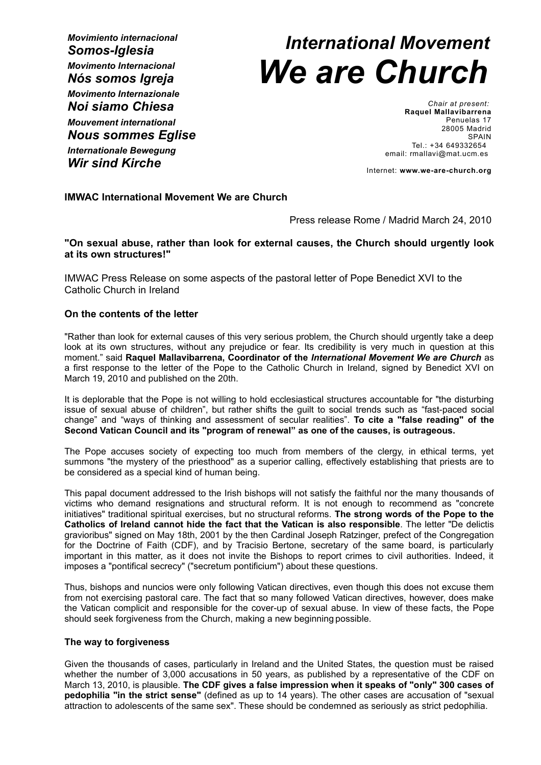*Movimiento internacional Somos-Iglesia Movimento Internacional Nós somos Igreja Movimento Internazionale Noi siamo Chiesa Mouvement international Nous sommes Eglise*

*Internationale Bewegung Wir sind Kirche*

# *International Movement We are Church*

*Chair at present:* **Raquel Mallavibarrena** Penuelas 17 28005 Madrid **SPAIN** Tel.: +34 649332654 email: rmallavi@mat.ucm.es

Internet: **www.we-are-church.org**

## **IMWAC International Movement We are Church**

Press release Rome / Madrid March 24, 2010

## **"On sexual abuse, rather than look for external causes, the Church should urgently look at its own structures!"**

IMWAC Press Release on some aspects of the pastoral letter of Pope Benedict XVI to the Catholic Church in Ireland

## **On the contents of the letter**

"Rather than look for external causes of this very serious problem, the Church should urgently take a deep look at its own structures, without any prejudice or fear. Its credibility is very much in question at this moment." said **Raquel Mallavibarrena, Coordinator of the** *International Movement We are Church* as a first response to the letter of the Pope to the Catholic Church in Ireland, signed by Benedict XVI on March 19, 2010 and published on the 20th.

It is deplorable that the Pope is not willing to hold ecclesiastical structures accountable for "the disturbing issue of sexual abuse of children", but rather shifts the guilt to social trends such as "fast-paced social change" and "ways of thinking and assessment of secular realities". **To cite a "false reading" of the Second Vatican Council and its "program of renewal" as one of the causes, is outrageous.**

The Pope accuses society of expecting too much from members of the clergy, in ethical terms, yet summons "the mystery of the priesthood" as a superior calling, effectively establishing that priests are to be considered as a special kind of human being.

This papal document addressed to the Irish bishops will not satisfy the faithful nor the many thousands of victims who demand resignations and structural reform. It is not enough to recommend as "concrete initiatives" traditional spiritual exercises, but no structural reforms. **The strong words of the Pope to the Catholics of Ireland cannot hide the fact that the Vatican is also responsible**. The letter "De delictis gravioribus" signed on May 18th, 2001 by the then Cardinal Joseph Ratzinger, prefect of the Congregation for the Doctrine of Faith (CDF), and by Tracisio Bertone, secretary of the same board, is particularly important in this matter, as it does not invite the Bishops to report crimes to civil authorities. Indeed, it imposes a "pontifical secrecy" ("secretum pontificium") about these questions.

Thus, bishops and nuncios were only following Vatican directives, even though this does not excuse them from not exercising pastoral care. The fact that so many followed Vatican directives, however, does make the Vatican complicit and responsible for the cover-up of sexual abuse. In view of these facts, the Pope should seek forgiveness from the Church, making a new beginning possible.

### **The way to forgiveness**

Given the thousands of cases, particularly in Ireland and the United States, the question must be raised whether the number of 3,000 accusations in 50 years, as published by a representative of the CDF on March 13, 2010, is plausible. **The CDF gives a false impression when it speaks of "only" 300 cases of pedophilia "in the strict sense"** (defined as up to 14 years). The other cases are accusation of "sexual attraction to adolescents of the same sex". These should be condemned as seriously as strict pedophilia.